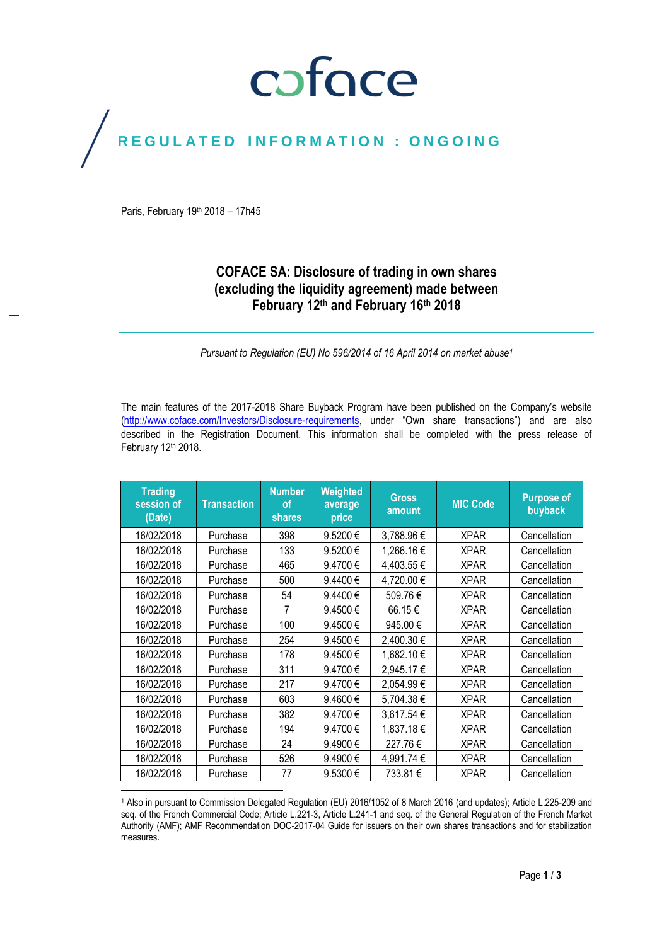# coface

# REGULATED INFORMATION : ONGOING

Paris, February 19<sup>th</sup> 2018 - 17h45

## **COFACE SA: Disclosure of trading in own shares (excluding the liquidity agreement) made between February 12 th and February 16th 2018**

*Pursuant to Regulation (EU) No 596/2014 of 16 April 2014 on market abuse<sup>1</sup>*

The main features of the 2017-2018 Share Buyback Program have been published on the Company's website [\(http://www.coface.com/Investors/Disclosure-requirements](http://www.coface.com/Investors/Disclosure-requirements), under "Own share transactions") and are also described in the Registration Document. This information shall be completed with the press release of February 12th 2018.

| <b>Trading</b><br>session of<br>(Date) | <b>Transaction</b> | <b>Number</b><br>Ωf<br>shares | Weighted<br>average<br>price | Gross<br>amount | <b>MIC Code</b> | <b>Purpose of</b><br>buyback |
|----------------------------------------|--------------------|-------------------------------|------------------------------|-----------------|-----------------|------------------------------|
| 16/02/2018                             | Purchase           | 398                           | 9.5200€                      | 3,788.96€       | <b>XPAR</b>     | Cancellation                 |
| 16/02/2018                             | Purchase           | 133                           | 9.5200€                      | 1,266.16€       | <b>XPAR</b>     | Cancellation                 |
| 16/02/2018                             | Purchase           | 465                           | 9.4700€                      | 4,403.55€       | <b>XPAR</b>     | Cancellation                 |
| 16/02/2018                             | Purchase           | 500                           | 9.4400€                      | 4,720.00 €      | <b>XPAR</b>     | Cancellation                 |
| 16/02/2018                             | Purchase           | 54                            | 9.4400€                      | 509.76€         | <b>XPAR</b>     | Cancellation                 |
| 16/02/2018                             | Purchase           | 7                             | 9.4500€                      | 66.15€          | <b>XPAR</b>     | Cancellation                 |
| 16/02/2018                             | Purchase           | 100                           | 9.4500€                      | 945.00 €        | <b>XPAR</b>     | Cancellation                 |
| 16/02/2018                             | Purchase           | 254                           | 9.4500€                      | 2,400.30 €      | <b>XPAR</b>     | Cancellation                 |
| 16/02/2018                             | Purchase           | 178                           | 9.4500€                      | 1,682.10€       | <b>XPAR</b>     | Cancellation                 |
| 16/02/2018                             | Purchase           | 311                           | 9.4700€                      | 2,945.17€       | <b>XPAR</b>     | Cancellation                 |
| 16/02/2018                             | Purchase           | 217                           | 9.4700€                      | 2,054.99€       | <b>XPAR</b>     | Cancellation                 |
| 16/02/2018                             | Purchase           | 603                           | $9.4600 \in$                 | 5,704.38€       | <b>XPAR</b>     | Cancellation                 |
| 16/02/2018                             | Purchase           | 382                           | 9.4700€                      | 3,617.54 €      | <b>XPAR</b>     | Cancellation                 |
| 16/02/2018                             | Purchase           | 194                           | 9.4700€                      | 1,837.18€       | <b>XPAR</b>     | Cancellation                 |
| 16/02/2018                             | Purchase           | 24                            | 9.4900€                      | 227.76€         | <b>XPAR</b>     | Cancellation                 |
| 16/02/2018                             | Purchase           | 526                           | 9.4900€                      | 4,991.74 €      | <b>XPAR</b>     | Cancellation                 |
| 16/02/2018                             | Purchase           | 77                            | 9.5300€                      | 733.81 €        | <b>XPAR</b>     | Cancellation                 |

 $\overline{a}$ <sup>1</sup> Also in pursuant to Commission Delegated Regulation (EU) 2016/1052 of 8 March 2016 (and updates); Article L.225-209 and seq. of the French Commercial Code; Article L.221-3, Article L.241-1 and seq. of the General Regulation of the French Market Authority (AMF); AMF Recommendation DOC-2017-04 Guide for issuers on their own shares transactions and for stabilization measures.

Page **1** / **3**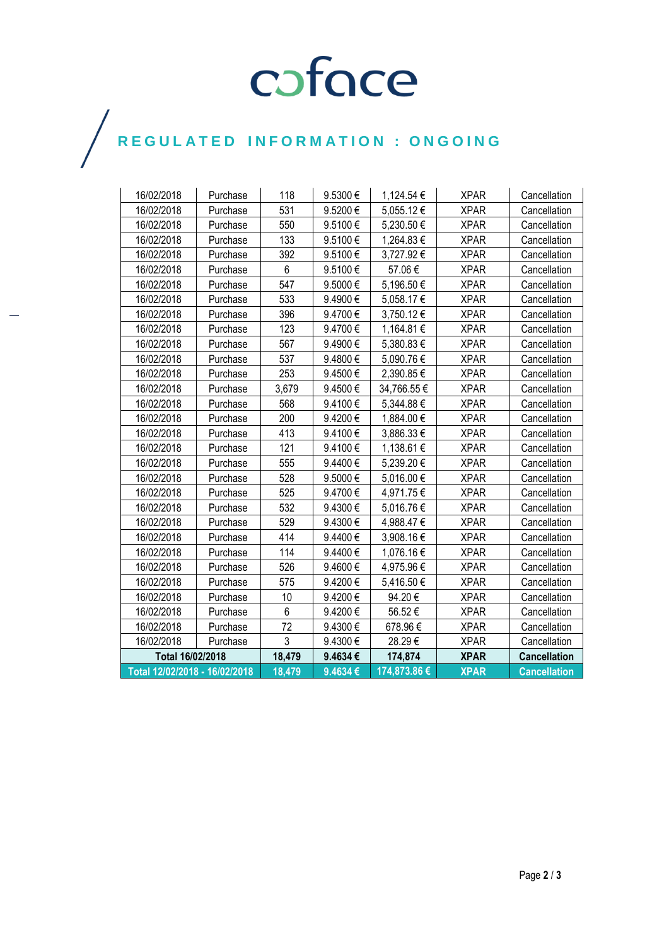# COFOCE

 $\bigg)$ 

| 16/02/2018                    | Purchase | 118    | 9.5300€ | 1,124.54 €   | <b>XPAR</b> | Cancellation        |
|-------------------------------|----------|--------|---------|--------------|-------------|---------------------|
| 16/02/2018                    | Purchase | 531    | 9.5200€ | 5,055.12€    | <b>XPAR</b> | Cancellation        |
| 16/02/2018                    | Purchase | 550    | 9.5100€ | 5,230.50€    | <b>XPAR</b> | Cancellation        |
| 16/02/2018                    | Purchase | 133    | 9.5100€ | 1,264.83 €   | <b>XPAR</b> | Cancellation        |
| 16/02/2018                    | Purchase | 392    | 9.5100€ | 3,727.92€    | <b>XPAR</b> | Cancellation        |
| 16/02/2018                    | Purchase | 6      | 9.5100€ | 57.06€       | <b>XPAR</b> | Cancellation        |
| 16/02/2018                    | Purchase | 547    | 9.5000€ | 5,196.50€    | <b>XPAR</b> | Cancellation        |
| 16/02/2018                    | Purchase | 533    | 9.4900€ | 5,058.17€    | <b>XPAR</b> | Cancellation        |
| 16/02/2018                    | Purchase | 396    | 9.4700€ | 3,750.12€    | <b>XPAR</b> | Cancellation        |
| 16/02/2018                    | Purchase | 123    | 9.4700€ | 1,164.81 €   | <b>XPAR</b> | Cancellation        |
| 16/02/2018                    | Purchase | 567    | 9.4900€ | 5,380.83€    | <b>XPAR</b> | Cancellation        |
| 16/02/2018                    | Purchase | 537    | 9.4800€ | 5,090.76€    | <b>XPAR</b> | Cancellation        |
| 16/02/2018                    | Purchase | 253    | 9.4500€ | 2,390.85€    | <b>XPAR</b> | Cancellation        |
| 16/02/2018                    | Purchase | 3,679  | 9.4500€ | 34,766.55 €  | <b>XPAR</b> | Cancellation        |
| 16/02/2018                    | Purchase | 568    | 9.4100€ | 5,344.88 €   | <b>XPAR</b> | Cancellation        |
| 16/02/2018                    | Purchase | 200    | 9.4200€ | 1,884.00 €   | <b>XPAR</b> | Cancellation        |
| 16/02/2018                    | Purchase | 413    | 9.4100€ | 3,886.33€    | <b>XPAR</b> | Cancellation        |
| 16/02/2018                    | Purchase | 121    | 9.4100€ | 1,138.61 €   | <b>XPAR</b> | Cancellation        |
| 16/02/2018                    | Purchase | 555    | 9.4400€ | 5,239.20€    | <b>XPAR</b> | Cancellation        |
| 16/02/2018                    | Purchase | 528    | 9.5000€ | 5,016.00€    | <b>XPAR</b> | Cancellation        |
| 16/02/2018                    | Purchase | 525    | 9.4700€ | 4,971.75€    | <b>XPAR</b> | Cancellation        |
| 16/02/2018                    | Purchase | 532    | 9.4300€ | 5,016.76€    | <b>XPAR</b> | Cancellation        |
| 16/02/2018                    | Purchase | 529    | 9.4300€ | 4,988.47€    | <b>XPAR</b> | Cancellation        |
| 16/02/2018                    | Purchase | 414    | 9.4400€ | 3,908.16€    | <b>XPAR</b> | Cancellation        |
| 16/02/2018                    | Purchase | 114    | 9.4400€ | 1,076.16€    | <b>XPAR</b> | Cancellation        |
| 16/02/2018                    | Purchase | 526    | 9.4600€ | 4,975.96€    | <b>XPAR</b> | Cancellation        |
| 16/02/2018                    | Purchase | 575    | 9.4200€ | 5,416.50€    | <b>XPAR</b> | Cancellation        |
| 16/02/2018                    | Purchase | 10     | 9.4200€ | 94.20€       | <b>XPAR</b> | Cancellation        |
| 16/02/2018                    | Purchase | 6      | 9.4200€ | 56.52€       | <b>XPAR</b> | Cancellation        |
| 16/02/2018                    | Purchase | 72     | 9.4300€ | 678.96€      | <b>XPAR</b> | Cancellation        |
| 16/02/2018                    | Purchase | 3      | 9.4300€ | 28.29€       | <b>XPAR</b> | Cancellation        |
| Total 16/02/2018              |          | 18,479 | 9.4634€ | 174,874      | <b>XPAR</b> | <b>Cancellation</b> |
| Total 12/02/2018 - 16/02/2018 |          | 18,479 | 9.4634€ | 174,873.86 € | <b>XPAR</b> | <b>Cancellation</b> |